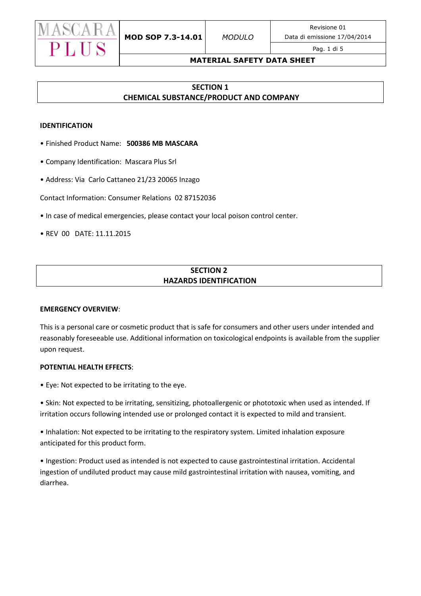

#### Pag. 1 di 5

#### **MATERIAL SAFETY DATA SHEET**

# **SECTION 1 CHEMICAL SUBSTANCE/PRODUCT AND COMPANY**

#### **IDENTIFICATION**

- Finished Product Name: **500386 MB MASCARA**
- Company Identification: Mascara Plus Srl
- Address: Via Carlo Cattaneo 21/23 20065 Inzago

Contact Information: Consumer Relations 02 87152036

- In case of medical emergencies, please contact your local poison control center.
- REV 00 DATE: 11.11.2015

# **SECTION 2 HAZARDS IDENTIFICATION**

#### **EMERGENCY OVERVIEW**:

This is a personal care or cosmetic product that is safe for consumers and other users under intended and reasonably foreseeable use. Additional information on toxicological endpoints is available from the supplier upon request.

#### **POTENTIAL HEALTH EFFECTS**:

• Eye: Not expected to be irritating to the eye.

• Skin: Not expected to be irritating, sensitizing, photoallergenic or phototoxic when used as intended. If irritation occurs following intended use or prolonged contact it is expected to mild and transient.

• Inhalation: Not expected to be irritating to the respiratory system. Limited inhalation exposure anticipated for this product form.

• Ingestion: Product used as intended is not expected to cause gastrointestinal irritation. Accidental ingestion of undiluted product may cause mild gastrointestinal irritation with nausea, vomiting, and diarrhea.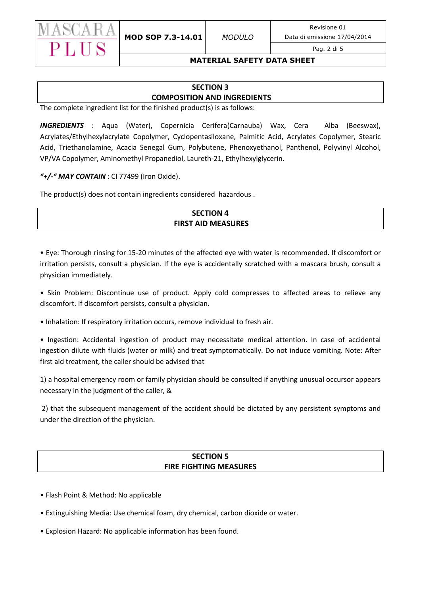

Data di emissione 17/04/2014

#### Pag. 2 di 5

### **MATERIAL SAFETY DATA SHEET**

# **SECTION 3 COMPOSITION AND INGREDIENTS**

The complete ingredient list for the finished product(s) is as follows:

*INGREDIENTS* : Aqua (Water), Copernicia Cerifera(Carnauba) Wax, Cera Alba (Beeswax), Acrylates/Ethylhexylacrylate Copolymer, Cyclopentasiloxane, Palmitic Acid, Acrylates Copolymer, Stearic Acid, Triethanolamine, Acacia Senegal Gum, Polybutene, Phenoxyethanol, Panthenol, Polyvinyl Alcohol, VP/VA Copolymer, Aminomethyl Propanediol, Laureth-21, Ethylhexylglycerin.

*"+/-" MAY CONTAIN* : CI 77499 (Iron Oxide).

The product(s) does not contain ingredients considered hazardous .

# **SECTION 4 FIRST AID MEASURES**

• Eye: Thorough rinsing for 15-20 minutes of the affected eye with water is recommended. If discomfort or irritation persists, consult a physician. If the eye is accidentally scratched with a mascara brush, consult a physician immediately.

• Skin Problem: Discontinue use of product. Apply cold compresses to affected areas to relieve any discomfort. If discomfort persists, consult a physician.

• Inhalation: If respiratory irritation occurs, remove individual to fresh air.

• Ingestion: Accidental ingestion of product may necessitate medical attention. In case of accidental ingestion dilute with fluids (water or milk) and treat symptomatically. Do not induce vomiting. Note: After first aid treatment, the caller should be advised that

1) a hospital emergency room or family physician should be consulted if anything unusual occursor appears necessary in the judgment of the caller, &

2) that the subsequent management of the accident should be dictated by any persistent symptoms and under the direction of the physician.

# **SECTION 5 FIRE FIGHTING MEASURES**

- Flash Point & Method: No applicable
- Extinguishing Media: Use chemical foam, dry chemical, carbon dioxide or water.
- Explosion Hazard: No applicable information has been found.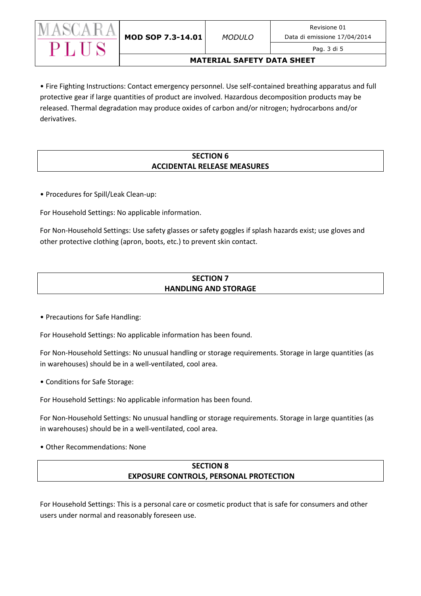

### Pag. 3 di 5

### **MATERIAL SAFETY DATA SHEET**

• Fire Fighting Instructions: Contact emergency personnel. Use self-contained breathing apparatus and full protective gear if large quantities of product are involved. Hazardous decomposition products may be released. Thermal degradation may produce oxides of carbon and/or nitrogen; hydrocarbons and/or derivatives.

## **SECTION 6 ACCIDENTAL RELEASE MEASURES**

• Procedures for Spill/Leak Clean-up:

For Household Settings: No applicable information.

For Non-Household Settings: Use safety glasses or safety goggles if splash hazards exist; use gloves and other protective clothing (apron, boots, etc.) to prevent skin contact.

# **SECTION 7 HANDLING AND STORAGE**

• Precautions for Safe Handling:

For Household Settings: No applicable information has been found.

For Non-Household Settings: No unusual handling or storage requirements. Storage in large quantities (as in warehouses) should be in a well-ventilated, cool area.

• Conditions for Safe Storage:

For Household Settings: No applicable information has been found.

For Non-Household Settings: No unusual handling or storage requirements. Storage in large quantities (as in warehouses) should be in a well-ventilated, cool area.

• Other Recommendations: None

# **SECTION 8 EXPOSURE CONTROLS, PERSONAL PROTECTION**

For Household Settings: This is a personal care or cosmetic product that is safe for consumers and other users under normal and reasonably foreseen use.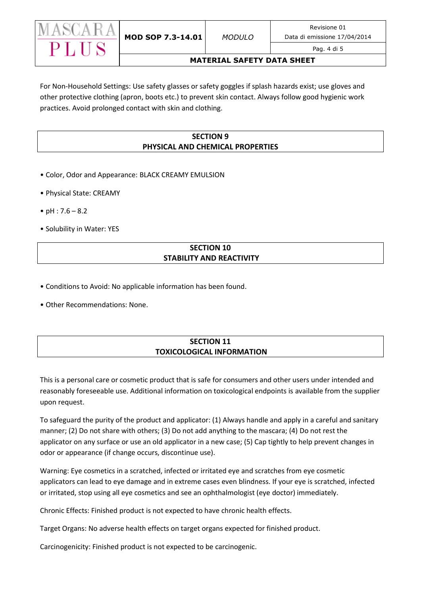

### Pag. 4 di 5

### **MATERIAL SAFETY DATA SHEET**

For Non-Household Settings: Use safety glasses or safety goggles if splash hazards exist; use gloves and other protective clothing (apron, boots etc.) to prevent skin contact. Always follow good hygienic work practices. Avoid prolonged contact with skin and clothing.

# **SECTION 9 PHYSICAL AND CHEMICAL PROPERTIES**

- Color, Odor and Appearance: BLACK CREAMY EMULSION
- Physical State: CREAMY
- $pH : 7.6 8.2$
- Solubility in Water: YES

# **SECTION 10 STABILITY AND REACTIVITY**

- Conditions to Avoid: No applicable information has been found.
- Other Recommendations: None.

# **SECTION 11 TOXICOLOGICAL INFORMATION**

This is a personal care or cosmetic product that is safe for consumers and other users under intended and reasonably foreseeable use. Additional information on toxicological endpoints is available from the supplier upon request.

To safeguard the purity of the product and applicator: (1) Always handle and apply in a careful and sanitary manner; (2) Do not share with others; (3) Do not add anything to the mascara; (4) Do not rest the applicator on any surface or use an old applicator in a new case; (5) Cap tightly to help prevent changes in odor or appearance (if change occurs, discontinue use).

Warning: Eye cosmetics in a scratched, infected or irritated eye and scratches from eye cosmetic applicators can lead to eye damage and in extreme cases even blindness. If your eye is scratched, infected or irritated, stop using all eye cosmetics and see an ophthalmologist (eye doctor) immediately.

Chronic Effects: Finished product is not expected to have chronic health effects.

Target Organs: No adverse health effects on target organs expected for finished product.

Carcinogenicity: Finished product is not expected to be carcinogenic.